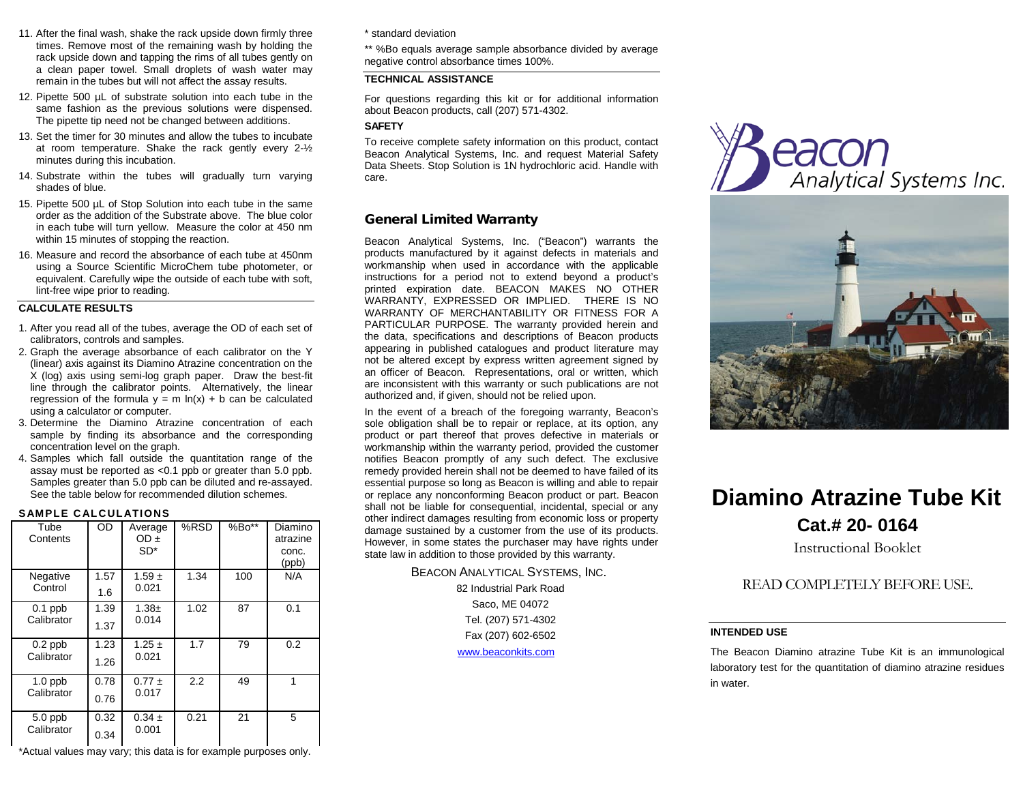- 11. After the final wash, shake the rack upside down firmly three times. Remove most of the remaining wash by holding the rack upside down and tapping the rims of all tubes gently on a clean paper towel. Small droplets of wash water may remain in the tubes but will not affect the assay results.
- 12. Pipette 500 uL of substrate solution into each tube in the same fashion as the previous solutions were dispensed. The pipette tip need not be changed between additions.
- 13. Set the timer for 30 minutes and allow the tubes to incubate at room temperature. Shake the rack gently every 2-½ minutes during this incubation.
- 14. Substrate within the tubes will gradually turn varying shades of blue.
- 15. Pipette 500 µL of Stop Solution into each tube in the same order as the addition of the Substrate above. The blue color in each tube will turn yellow. Measure the color at 450 nm within 15 minutes of stopping the reaction.
- 16. Measure and record the absorbance of each tube at 450nm using a Source Scientific MicroChem tube photometer, or equivalent. Carefully wipe the outside of each tube with soft, lint-free wipe prior to reading.

## **CALCULATE RESULTS**

- 1. After you read all of the tubes, average the OD of each set of calibrators, controls and samples.
- 2. Graph the average absorbance of each calibrator on the Y (linear) axis against its Diamino Atrazine concentration on the X (log) axis using semi-log graph paper. Draw the best-fit line through the calibrator points. Alternatively, the linear regression of the formula  $y = m \ln(x) + b$  can be calculated using a calculator or computer.
- 3. Determine the Diamino Atrazine concentration of each sample by finding its absorbance and the corresponding concentration level on the graph.
- 4. Samples which fall outside the quantitation range of the assay must be reported as <0.1 ppb or greater than 5.0 ppb. Samples greater than 5.0 ppb can be diluted and re-assayed. See the table below for recommended dilution schemes.

### **SAMPLE CALCULATIONS**

| Tube<br>Contents        | OD           | Average<br>$OD \pm$<br>$SD*$ | %RSD | %Bo** | Diamino<br>atrazine<br>conc.<br>(ppb) |
|-------------------------|--------------|------------------------------|------|-------|---------------------------------------|
| Negative<br>Control     | 1.57<br>1.6  | $1.59 +$<br>0.021            | 1.34 | 100   | N/A                                   |
| $0.1$ ppb<br>Calibrator | 1.39<br>1.37 | $1.38 +$<br>0.014            | 1.02 | 87    | 0.1                                   |
| $0.2$ ppb<br>Calibrator | 1.23<br>1.26 | $1.25 \pm$<br>0.021          | 1.7  | 79    | 0.2                                   |
| $1.0$ ppb<br>Calibrator | 0.78<br>0.76 | $0.77 \pm$<br>0.017          | 2.2  | 49    | 1                                     |
| $5.0$ ppb<br>Calibrator | 0.32<br>0.34 | $0.34 \pm$<br>0.001          | 0.21 | 21    | 5                                     |

\* standard deviation

\*\* %Bo equals average sample absorbance divided by average negative control absorbance times 100%.

## **TECHNICAL ASSISTANCE**

For questions regarding this kit or for additional information about Beacon products, call (207) 571-4302.

#### **SAFETY**

To receive complete safety information on this product, contact Beacon Analytical Systems, Inc. and request Material Safety Data Sheets. Stop Solution is 1N hydrochloric acid. Handle with care.

## General Limited Warranty

Beacon Analytical Systems, Inc. ("Beacon") warrants the products manufactured by it against defects in materials and workmanship when used in accordance with the applicable instructions for a period not to extend beyond a product's printed expiration date. BEACON MAKES NO OTHER WARRANTY, EXPRESSED OR IMPLIED. THERE IS NO WARRANTY OF MERCHANTABILITY OR FITNESS FOR A PARTICULAR PURPOSE. The warranty provided herein and the data, specifications and descriptions of Beacon products appearing in published catalogues and product literature may not be altered except by express written agreement signed by an officer of Beacon. Representations, oral or written, which are inconsistent with this warranty or such publications are not authorized and, if given, should not be relied upon.

In the event of a breach of the foregoing warranty, Beacon's sole obligation shall be to repair or replace, at its option, any product or part thereof that proves defective in materials or workmanship within the warranty period, provided the customer notifies Beacon promptly of any such defect. The exclusive remedy provided herein shall not be deemed to have failed of its essential purpose so long as Beacon is willing and able to repair or replace any nonconforming Beacon product or part. Beacon shall not be liable for consequential, incidental, special or any other indirect damages resulting from economic loss or property damage sustained by a customer from the use of its products. However, in some states the purchaser may have rights under state law in addition to those provided by this warranty.

## BEACON ANALYTICAL SYSTEMS, INC.

82 Industrial Park Road Saco, ME 04072 Tel. (207) 571-4302 Fax (207) 602-6502 [www.beaconkits.com](http://www.beaconkits.com/)





# **Diamino Atrazine Tube Kit Cat.# 20- 0164**

Instructional Booklet

## READ COMPLETELY BEFORE USE.

## **INTENDED USE**

The Beacon Diamino atrazine Tube Kit is an immunological laboratory test for the quantitation of diamino atrazine residues in water.

\*Actual values may vary; this data is for example purposes only.